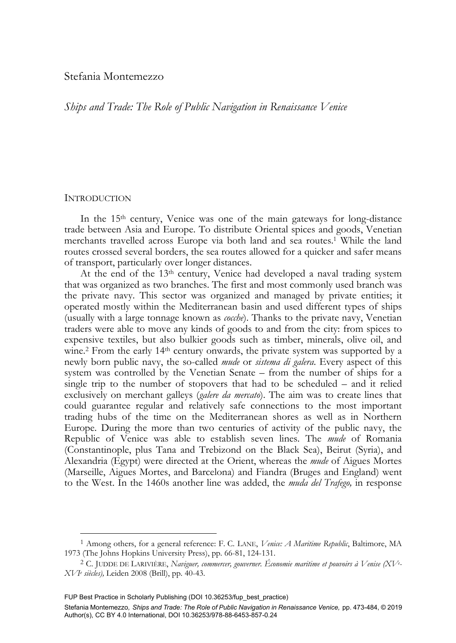# Stefania Montemezzo

*Ships and Trade: The Role of Public Navigation in Renaissance Venice* 

## **INTRODUCTION**

-

In the 15<sup>th</sup> century, Venice was one of the main gateways for long-distance trade between Asia and Europe. To distribute Oriental spices and goods, Venetian merchants travelled across Europe via both land and sea routes.1 While the land routes crossed several borders, the sea routes allowed for a quicker and safer means of transport, particularly over longer distances.

At the end of the 13th century, Venice had developed a naval trading system that was organized as two branches. The first and most commonly used branch was the private navy. This sector was organized and managed by private entities; it operated mostly within the Mediterranean basin and used different types of ships (usually with a large tonnage known as *cocche*). Thanks to the private navy, Venetian traders were able to move any kinds of goods to and from the city: from spices to expensive textiles, but also bulkier goods such as timber, minerals, olive oil, and wine.<sup>2</sup> From the early 14<sup>th</sup> century onwards, the private system was supported by a newly born public navy, the so-called *mude* or *sistema di galera*. Every aspect of this system was controlled by the Venetian Senate – from the number of ships for a single trip to the number of stopovers that had to be scheduled – and it relied exclusively on merchant galleys (*galere da mercato*). The aim was to create lines that could guarantee regular and relatively safe connections to the most important trading hubs of the time on the Mediterranean shores as well as in Northern Europe. During the more than two centuries of activity of the public navy, the Republic of Venice was able to establish seven lines. The *mude* of Romania (Constantinople, plus Tana and Trebizond on the Black Sea), Beirut (Syria), and Alexandria (Egypt) were directed at the Orient, whereas the *mude* of Aigues Mortes (Marseille, Aigues Mortes, and Barcelona) and Fiandra (Bruges and England) went to the West. In the 1460s another line was added, the *muda del Trafego,* in response

<sup>1</sup> Among others, for a general reference: F. C. LANE, *Venice: A Maritime Republic*, Baltimore, MA 1973 (The Johns Hopkins University Press), pp. 66-81, 124-131. 2 C. JUDDE DE LARIVIÈRE, *Naviguer, commercer, gouverner. Économie maritime et pouvoirs à Venise (XVe -*

*XVIe siècles),* Leiden 2008 (Brill), pp. 40-43.

FUP Best Practice in Scholarly Publishing (DOI [10.36253/fup\\_best\\_practice\)](https://doi.org/10.36253/fup_best_practice)

Stefania Montemezzo*, Ships and Trade: The Role of Public Navigation in Renaissance Venice,* pp. 473-484, © 2019 Author(s), [CC BY 4.0 International](http://creativecommons.org/licenses/by/4.0/legalcode), DOI [10.36253/978-88-6453-857-0.24](https://doi.org/10.36253/978-88-6453-857-0.24)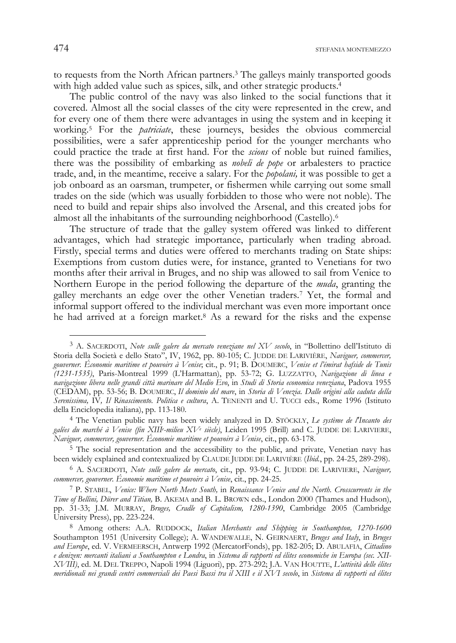to requests from the North African partners.3 The galleys mainly transported goods with high added value such as spices, silk, and other strategic products.<sup>4</sup>

The public control of the navy was also linked to the social functions that it covered. Almost all the social classes of the city were represented in the crew, and for every one of them there were advantages in using the system and in keeping it working.5 For the *patriciate*, these journeys, besides the obvious commercial possibilities, were a safer apprenticeship period for the younger merchants who could practice the trade at first hand. For the *scions* of noble but ruined families, there was the possibility of embarking as *nobeli de pope* or arbalesters to practice trade, and, in the meantime, receive a salary. For the *popolani,* it was possible to get a job onboard as an oarsman, trumpeter, or fishermen while carrying out some small trades on the side (which was usually forbidden to those who were not noble). The need to build and repair ships also involved the Arsenal, and this created jobs for almost all the inhabitants of the surrounding neighborhood (Castello).6

The structure of trade that the galley system offered was linked to different advantages, which had strategic importance, particularly when trading abroad. Firstly, special terms and duties were offered to merchants trading on State ships: Exemptions from custom duties were, for instance, granted to Venetians for two months after their arrival in Bruges, and no ship was allowed to sail from Venice to Northern Europe in the period following the departure of the *muda*, granting the galley merchants an edge over the other Venetian traders.7 Yet, the formal and informal support offered to the individual merchant was even more important once he had arrived at a foreign market.<sup>8</sup> As a reward for the risks and the expense

<sup>3</sup> A. SACERDOTI, *Note sulle galere da mercato veneziane nel XV secolo*, in "Bollettino dell'Istituto di Storia della Società e dello Stato", IV, 1962, pp. 80-105; C. JUDDE DE LARIVIÈRE, *Naviguer, commercer, gouverner. Économie maritime et pouvoirs à Venise*; cit., p. 91; B. DOUMERC, *Venise et l'émirat hafside de Tunis (1231-1535)*, Paris-Montreal 1999 (L'Harmattan), pp. 53-72; G. LUZZATTO, *Navigazione di linea e navigazione libera nelle grandi città marinare del Medio Evo*, in *Studi di Storia economica veneziana*, Padova 1955 (CEDAM), pp. 53-56; B. DOUMERC, *Il dominio del mare*, in *Storia di Venezia. Dalle origini alla caduta della Serenissima,* IV*, Il Rinascimento. Politica e cultura*, A. TENENTI and U. TUCCI eds., Rome 1996 (Istituto della Enciclopedia italiana), pp. 113-180.

<sup>4</sup> The Venetian public navy has been widely analyzed in D. STÖCKLY, *Le système de l'Incanto des galées du marché à Venise (fin XIIIe -milieu XVe siècle)*, Leiden 1995 (Brill) and C. JUDDE DE LARIVIERE, *Naviguer, commercer, gouverner. Économie maritime et pouvoirs à Venise*, cit., pp. 63-178.

<sup>5</sup> The social representation and the accessibility to the public, and private, Venetian navy has been widely explained and contextualized by CLAUDE JUDDE DE LARIVIÈRE (*Ibid.*, pp. 24-25, 289-298).

<sup>6</sup> A. SACERDOTI, *Note sulle galere da mercato*, cit., pp. 93-94; C. JUDDE DE LARIVIERE, *Naviguer, commercer, gouverner. Économie maritime et pouvoirs à Venise*, cit., pp. 24-25. 7 P. STABEL, *Venice: Where North Meets South,* in *Renaissance Venice and the North. Crosscurrents in the* 

*Time of Bellini, Dürer and Titian,* B. AKEMA and B. L. BROWN eds., London 2000 (Thames and Hudson), pp. 31-33; J.M. MURRAY, *Bruges, Cradle of Capitalism, 1280-1390*, Cambridge 2005 (Cambridge University Press), pp. 223-224.

<sup>8</sup> Among others: A.A. RUDDOCK, *Italian Merchants and Shipping in Southampton, 1270-1600* Southampton 1951 (University College); A. WANDEWALLE, N. GEIRNAERT, *Bruges and Italy*, in *Bruges and Europe*, ed. V. VERMEERSCH, Antwerp 1992 (MercatorFonds), pp. 182-205; D. ABULAFIA, *Cittadino e denizen: mercanti italiani a Southampton e Londra*, in *Sistema di rapporti ed élites economiche in Europa (sec. XII-XVIII)*, ed. M. DEL TREPPO, Napoli 1994 (Liguori), pp. 273-292; J.A. VAN HOUTTE, *L'attività delle élites meridionali nei grandi centri commerciali dei Paesi Bassi tra il XIII e il XVI secolo*, in *Sistema di rapporti ed élites*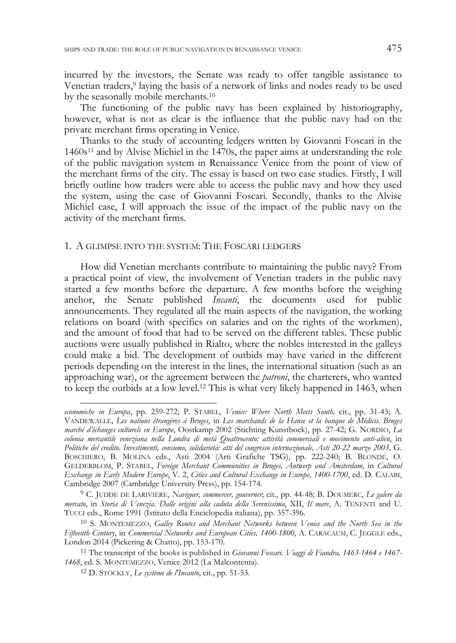incurred by the investors, the Senate was ready to offer tangible assistance to Venetian traders,9 laying the basis of a network of links and nodes ready to be used by the seasonally mobile merchants.10

The functioning of the public navy has been explained by historiography, however, what is not as clear is the influence that the public navy had on the private merchant firms operating in Venice.

Thanks to the study of accounting ledgers written by Giovanni Foscari in the 1460s11 and by Alvise Michiel in the 1470s, the paper aims at understanding the role of the public navigation system in Renaissance Venice from the point of view of the merchant firms of the city. The essay is based on two case studies. Firstly, I will briefly outline how traders were able to access the public navy and how they used the system, using the case of Giovanni Foscari. Secondly, thanks to the Alvise Michiel case, I will approach the issue of the impact of the public navy on the activity of the merchant firms.

## 1. A GLIMPSE INTO THE SYSTEM: THE FOSCARI LEDGERS

How did Venetian merchants contribute to maintaining the public navy? From a practical point of view, the involvement of Venetian traders in the public navy started a few months before the departure. A few months before the weighing anchor, the Senate published *Incanti*, the documents used for public announcements. They regulated all the main aspects of the navigation, the working relations on board (with specifics on salaries and on the rights of the workmen), and the amount of food that had to be served on the different tables. These public auctions were usually published in Rialto, where the nobles interested in the galleys could make a bid. The development of outbids may have varied in the different periods depending on the interest in the lines, the international situation (such as an approaching war), or the agreement between the *patroni*, the charterers, who wanted to keep the outbids at a low level.12 This is what very likely happened in 1463, when

-

*economiche in Europa*, pp. 259-272; P. STABEL, *Venice: Where North Meets South,* cit., pp. 31-43; A. VANDEWALLE, *Les nations étrangères à Bruges*, in *Les marchands de la Hanse et la banque de Médicis. Bruges marché d'échanges culturels en Europe*, Oostkamp 2002 (Stichting Kunstboek), pp. 27-42; G. NORDIO, *La colonia mercantile veneziana nella Londra di metà Quattrocento: attività commerciali e movimento anti-alien*, in *Politiche del credito. Investimenti, consumo, solidarietà: atti del congresso internazionale, Asti 20-22 marzo 2003,* G. BOSCHIERO, B. MOLINA eds., Asti 2004 (Arti Grafiche TSG), pp. 222-240; B. BLONDÉ, O. GELDERBLOM, P. STABEL, *Foreign Merchant Communities in Bruges, Antwerp and Amsterdam*, in *Cultural Exchange in Early Modern Europe*, V. 2, *Cities and Cultural Exchange in Europe, 1400-1700*, ed. D. CALABI, Cambridge 2007 (Cambridge University Press), pp. 154-174.

<sup>9</sup> C. JUDDE DE LARIVIÈRE, *Naviguer, commercer, gouverner*; cit., pp. 44-48; B. DOUMERC, *Le galere da mercato*, in *Storia di Venezia. Dalle origini alla caduta della Serenissima*, XII, *Il mare*, A. TENENTI and U. TUCCI eds., Rome 1991 (Istituto della Enciclopedia italiana), pp. 357-396.

<sup>10</sup> S. MONTEMEZZO, *Galley Routes and Merchant Networks between Venice and the North Sea in the Fifteenth Century*, in *Commercial Networks and European Cities, 1400-1800*, A. CARACAUSI, C. JEGGLE eds., London 2014 (Pickering & Chatto), pp. 153-170. 11 The transcript of the books is published in *Giovanni Foscari. Viaggi di Fiandra, 1463-1464 e 1467-*

*<sup>1468</sup>*, ed. S. MONTEMEZZO, Venice 2012 (La Malcontenta). 12 D. STÖCKLY, *Le système de l'Incanto*, cit., pp. 51-53.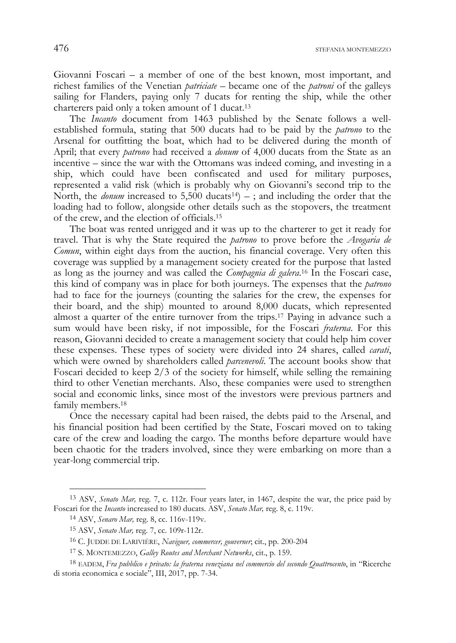476 STEFANIA MONTEMEZZO

Giovanni Foscari – a member of one of the best known, most important, and richest families of the Venetian *patriciate* – became one of the *patroni* of the galleys sailing for Flanders, paying only 7 ducats for renting the ship, while the other charterers paid only a token amount of 1 ducat.13

The *Incanto* document from 1463 published by the Senate follows a wellestablished formula, stating that 500 ducats had to be paid by the *patrono* to the Arsenal for outfitting the boat, which had to be delivered during the month of April; that every *patrono* had received a *donum* of 4,000 ducats from the State as an incentive – since the war with the Ottomans was indeed coming, and investing in a ship, which could have been confiscated and used for military purposes, represented a valid risk (which is probably why on Giovanni's second trip to the North, the *donum* increased to  $5,500$  ducats<sup>14</sup>) –; and including the order that the loading had to follow, alongside other details such as the stopovers, the treatment of the crew, and the election of officials.15

The boat was rented unrigged and it was up to the charterer to get it ready for travel. That is why the State required the *patrono* to prove before the *Avogaria de Comun*, within eight days from the auction, his financial coverage. Very often this coverage was supplied by a management society created for the purpose that lasted as long as the journey and was called the *Compagnia di galera*. 16 In the Foscari case, this kind of company was in place for both journeys. The expenses that the *patrono* had to face for the journeys (counting the salaries for the crew, the expenses for their board, and the ship) mounted to around 8,000 ducats, which represented almost a quarter of the entire turnover from the trips.17 Paying in advance such a sum would have been risky, if not impossible, for the Foscari *fraterna*. For this reason, Giovanni decided to create a management society that could help him cover these expenses. These types of society were divided into 24 shares, called *carati*, which were owned by shareholders called *parcenevoli*. The account books show that Foscari decided to keep 2/3 of the society for himself, while selling the remaining third to other Venetian merchants. Also, these companies were used to strengthen social and economic links, since most of the investors were previous partners and family members.18

Once the necessary capital had been raised, the debts paid to the Arsenal, and his financial position had been certified by the State, Foscari moved on to taking care of the crew and loading the cargo. The months before departure would have been chaotic for the traders involved, since they were embarking on more than a year-long commercial trip.

<sup>13</sup> ASV, *Senato Mar,* reg. 7, c. 112r. Four years later, in 1467, despite the war, the price paid by Foscari for the *Incanto* increased to 180 ducats. ASV, *Senato Mar,* reg. 8, c. 119v.

<sup>14</sup> ASV, *Senaro Mar,* reg. 8, cc. 116v-119v.

<sup>15</sup> ASV, *Senato Mar,* reg. 7, cc. 109r-112r.

<sup>16</sup> C. JUDDE DE LARIVIÈRE, *Naviguer, commercer, gouverner*; cit., pp. 200-204

<sup>17</sup> S. MONTEMEZZO, *Galley Routes and Merchant Networks*, cit., p. 159.

<sup>18</sup> EADEM, *Fra pubblico e privato: la fraterna veneziana nel commercio del secondo Quattrocento*, in "Ricerche di storia economica e sociale", III, 2017, pp. 7-34.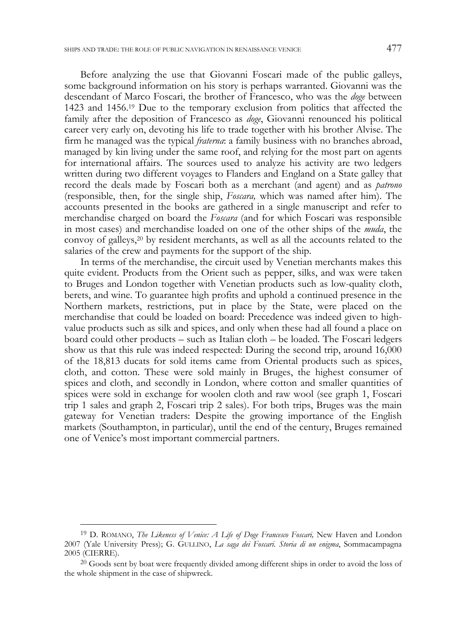Before analyzing the use that Giovanni Foscari made of the public galleys, some background information on his story is perhaps warranted. Giovanni was the descendant of Marco Foscari, the brother of Francesco, who was the *doge* between 1423 and 1456.19 Due to the temporary exclusion from politics that affected the family after the deposition of Francesco as *doge*, Giovanni renounced his political career very early on, devoting his life to trade together with his brother Alvise. The firm he managed was the typical *fraterna*: a family business with no branches abroad, managed by kin living under the same roof, and relying for the most part on agents for international affairs. The sources used to analyze his activity are two ledgers written during two different voyages to Flanders and England on a State galley that record the deals made by Foscari both as a merchant (and agent) and as *patrono*  (responsible, then, for the single ship, *Foscara,* which was named after him). The accounts presented in the books are gathered in a single manuscript and refer to merchandise charged on board the *Foscara* (and for which Foscari was responsible in most cases) and merchandise loaded on one of the other ships of the *muda*, the convoy of galleys,20 by resident merchants, as well as all the accounts related to the salaries of the crew and payments for the support of the ship.

In terms of the merchandise, the circuit used by Venetian merchants makes this quite evident. Products from the Orient such as pepper, silks, and wax were taken to Bruges and London together with Venetian products such as low-quality cloth, berets, and wine. To guarantee high profits and uphold a continued presence in the Northern markets, restrictions, put in place by the State, were placed on the merchandise that could be loaded on board: Precedence was indeed given to highvalue products such as silk and spices, and only when these had all found a place on board could other products – such as Italian cloth – be loaded. The Foscari ledgers show us that this rule was indeed respected: During the second trip, around 16,000 of the 18,813 ducats for sold items came from Oriental products such as spices, cloth, and cotton. These were sold mainly in Bruges, the highest consumer of spices and cloth, and secondly in London, where cotton and smaller quantities of spices were sold in exchange for woolen cloth and raw wool (see graph 1, Foscari trip 1 sales and graph 2, Foscari trip 2 sales). For both trips, Bruges was the main gateway for Venetian traders: Despite the growing importance of the English markets (Southampton, in particular), until the end of the century, Bruges remained one of Venice's most important commercial partners.

<sup>19</sup> D. ROMANO, *The Likeness of Venice: A Life of Doge Francesco Foscari,* New Haven and London 2007 (Yale University Press); G. GULLINO, *La saga dei Foscari. Storia di un enigma*, Sommacampagna 2005 (CIERRE).

<sup>&</sup>lt;sup>20</sup> Goods sent by boat were frequently divided among different ships in order to avoid the loss of the whole shipment in the case of shipwreck.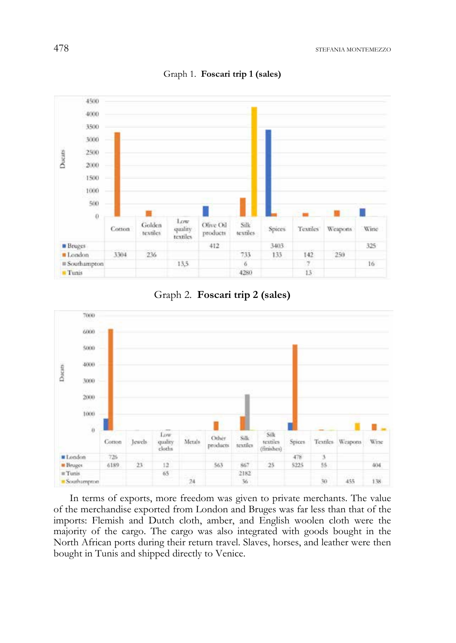

Graph 1. **Foscari trip 1 (sales)** 

Graph 2. **Foscari trip 2 (sales)** 



In terms of exports, more freedom was given to private merchants. The value of the merchandise exported from London and Bruges was far less than that of the imports: Flemish and Dutch cloth, amber, and English woolen cloth were the majority of the cargo. The cargo was also integrated with goods bought in the North African ports during their return travel. Slaves, horses, and leather were then bought in Tunis and shipped directly to Venice.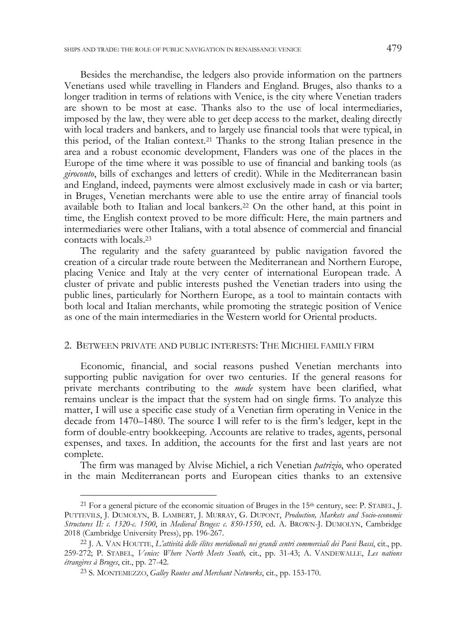Besides the merchandise, the ledgers also provide information on the partners Venetians used while travelling in Flanders and England. Bruges, also thanks to a longer tradition in terms of relations with Venice, is the city where Venetian traders are shown to be most at ease. Thanks also to the use of local intermediaries, imposed by the law, they were able to get deep access to the market, dealing directly with local traders and bankers, and to largely use financial tools that were typical, in this period, of the Italian context.21 Thanks to the strong Italian presence in the area and a robust economic development, Flanders was one of the places in the Europe of the time where it was possible to use of financial and banking tools (as *giroconto*, bills of exchanges and letters of credit). While in the Mediterranean basin and England, indeed, payments were almost exclusively made in cash or via barter; in Bruges, Venetian merchants were able to use the entire array of financial tools available both to Italian and local bankers.22 On the other hand, at this point in time, the English context proved to be more difficult: Here, the main partners and intermediaries were other Italians, with a total absence of commercial and financial contacts with locals.23

The regularity and the safety guaranteed by public navigation favored the creation of a circular trade route between the Mediterranean and Northern Europe, placing Venice and Italy at the very center of international European trade. A cluster of private and public interests pushed the Venetian traders into using the public lines, particularly for Northern Europe, as a tool to maintain contacts with both local and Italian merchants, while promoting the strategic position of Venice as one of the main intermediaries in the Western world for Oriental products.

## 2. BETWEEN PRIVATE AND PUBLIC INTERESTS: THE MICHIEL FAMILY FIRM

Economic, financial, and social reasons pushed Venetian merchants into supporting public navigation for over two centuries. If the general reasons for private merchants contributing to the *mude* system have been clarified, what remains unclear is the impact that the system had on single firms. To analyze this matter, I will use a specific case study of a Venetian firm operating in Venice in the decade from 1470–1480. The source I will refer to is the firm's ledger, kept in the form of double-entry bookkeeping. Accounts are relative to trades, agents, personal expenses, and taxes. In addition, the accounts for the first and last years are not complete.

The firm was managed by Alvise Michiel, a rich Venetian *patrizio*, who operated in the main Mediterranean ports and European cities thanks to an extensive

<sup>&</sup>lt;sup>21</sup> For a general picture of the economic situation of Bruges in the 15<sup>th</sup> century, see: P. STABEL, J. PUTTEVILS, J. DUMOLYN, B. LAMBERT, J. MURRAY, G. DUPONT, *Production, Markets and Socio-economic Structures II: c. 1320-c. 1500*, in *Medieval Bruges: c. 850-1550*, ed. A. BROWN-J. DUMOLYN, Cambridge 2018 (Cambridge University Press), pp. 196-267. 22 J. A. VAN HOUTTE, *L'attività delle élites meridionali nei grandi centri commerciali dei Paesi Bassi*, cit., pp.

<sup>259-272;</sup> P. STABEL, *Venice: Where North Meets South,* cit., pp. 31-43; A. VANDEWALLE, *Les nations étrangères à Bruges*, cit., pp. 27-42.

<sup>23</sup> S. MONTEMEZZO, *Galley Routes and Merchant Networks*, cit., pp. 153-170.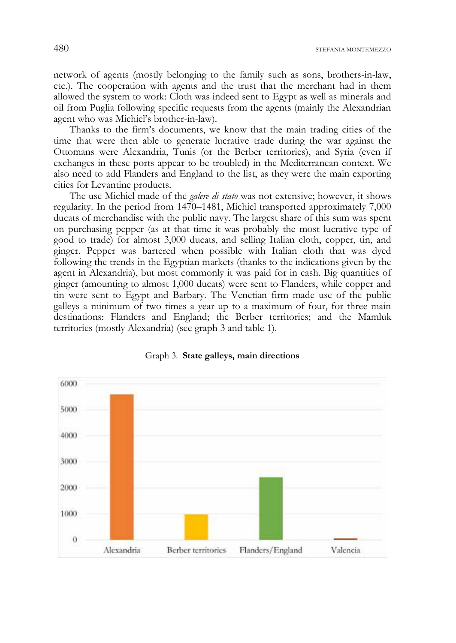network of agents (mostly belonging to the family such as sons, brothers-in-law, etc.). The cooperation with agents and the trust that the merchant had in them allowed the system to work: Cloth was indeed sent to Egypt as well as minerals and oil from Puglia following specific requests from the agents (mainly the Alexandrian agent who was Michiel's brother-in-law).

Thanks to the firm's documents, we know that the main trading cities of the time that were then able to generate lucrative trade during the war against the Ottomans were Alexandria, Tunis (or the Berber territories), and Syria (even if exchanges in these ports appear to be troubled) in the Mediterranean context. We also need to add Flanders and England to the list, as they were the main exporting cities for Levantine products.

The use Michiel made of the *galere di stato* was not extensive; however, it shows regularity. In the period from 1470–1481, Michiel transported approximately 7,000 ducats of merchandise with the public navy. The largest share of this sum was spent on purchasing pepper (as at that time it was probably the most lucrative type of good to trade) for almost 3,000 ducats, and selling Italian cloth, copper, tin, and ginger. Pepper was bartered when possible with Italian cloth that was dyed following the trends in the Egyptian markets (thanks to the indications given by the agent in Alexandria), but most commonly it was paid for in cash. Big quantities of ginger (amounting to almost 1,000 ducats) were sent to Flanders, while copper and tin were sent to Egypt and Barbary. The Venetian firm made use of the public galleys a minimum of two times a year up to a maximum of four, for three main destinations: Flanders and England; the Berber territories; and the Mamluk territories (mostly Alexandria) (see graph 3 and table 1).



#### Graph 3. **State galleys, main directions**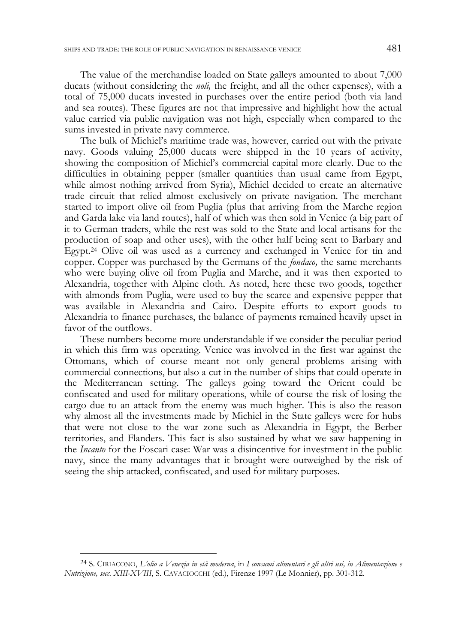The value of the merchandise loaded on State galleys amounted to about 7,000 ducats (without considering the *noli,* the freight, and all the other expenses), with a total of 75,000 ducats invested in purchases over the entire period (both via land and sea routes). These figures are not that impressive and highlight how the actual value carried via public navigation was not high, especially when compared to the sums invested in private navy commerce.

The bulk of Michiel's maritime trade was, however, carried out with the private navy. Goods valuing 25,000 ducats were shipped in the 10 years of activity, showing the composition of Michiel's commercial capital more clearly. Due to the difficulties in obtaining pepper (smaller quantities than usual came from Egypt, while almost nothing arrived from Syria), Michiel decided to create an alternative trade circuit that relied almost exclusively on private navigation. The merchant started to import olive oil from Puglia (plus that arriving from the Marche region and Garda lake via land routes), half of which was then sold in Venice (a big part of it to German traders, while the rest was sold to the State and local artisans for the production of soap and other uses), with the other half being sent to Barbary and Egypt.24 Olive oil was used as a currency and exchanged in Venice for tin and copper. Copper was purchased by the Germans of the *fondaco,* the same merchants who were buying olive oil from Puglia and Marche, and it was then exported to Alexandria, together with Alpine cloth. As noted, here these two goods, together with almonds from Puglia, were used to buy the scarce and expensive pepper that was available in Alexandria and Cairo. Despite efforts to export goods to Alexandria to finance purchases, the balance of payments remained heavily upset in favor of the outflows.

These numbers become more understandable if we consider the peculiar period in which this firm was operating. Venice was involved in the first war against the Ottomans, which of course meant not only general problems arising with commercial connections, but also a cut in the number of ships that could operate in the Mediterranean setting. The galleys going toward the Orient could be confiscated and used for military operations, while of course the risk of losing the cargo due to an attack from the enemy was much higher. This is also the reason why almost all the investments made by Michiel in the State galleys were for hubs that were not close to the war zone such as Alexandria in Egypt, the Berber territories, and Flanders. This fact is also sustained by what we saw happening in the *Incanto* for the Foscari case: War was a disincentive for investment in the public navy, since the many advantages that it brought were outweighed by the risk of seeing the ship attacked, confiscated, and used for military purposes.

-

<sup>24</sup> S. CIRIACONO, *L'olio a Venezia in età moderna*, in *I consumi alimentari e gli altri usi, in Alimentazione e Nutrizione, secc. XIII-XVIII*, S. CAVACIOCCHI (ed.), Firenze 1997 (Le Monnier), pp. 301-312.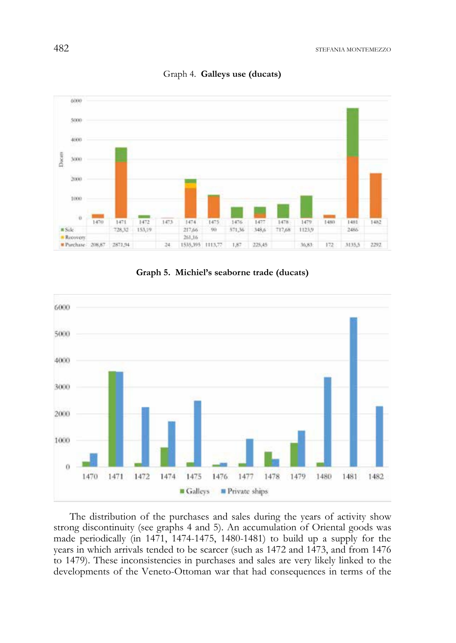

Graph 4. **Galleys use (ducats)** 





The distribution of the purchases and sales during the years of activity show strong discontinuity (see graphs 4 and 5). An accumulation of Oriental goods was made periodically (in 1471, 1474-1475, 1480-1481) to build up a supply for the years in which arrivals tended to be scarcer (such as 1472 and 1473, and from 1476 to 1479). These inconsistencies in purchases and sales are very likely linked to the developments of the Veneto-Ottoman war that had consequences in terms of the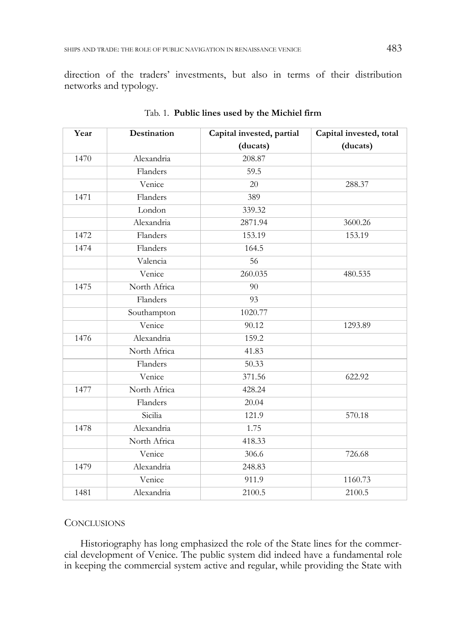direction of the traders' investments, but also in terms of their distribution networks and typology.

| Year | <b>Destination</b> | Capital invested, partial | Capital invested, total |
|------|--------------------|---------------------------|-------------------------|
|      |                    | (ducats)                  | (ducats)                |
| 1470 | Alexandria         | 208.87                    |                         |
|      | Flanders           | 59.5                      |                         |
|      | Venice             | 20                        | 288.37                  |
| 1471 | Flanders           | 389                       |                         |
|      | London             | 339.32                    |                         |
|      | Alexandria         | 2871.94                   | 3600.26                 |
| 1472 | Flanders           | 153.19                    | 153.19                  |
| 1474 | Flanders           | 164.5                     |                         |
|      | Valencia           | 56                        |                         |
|      | Venice             | 260.035                   | 480.535                 |
| 1475 | North Africa       | 90                        |                         |
|      | Flanders           | 93                        |                         |
|      | Southampton        | 1020.77                   |                         |
|      | Venice             | 90.12                     | 1293.89                 |
| 1476 | Alexandria         | 159.2                     |                         |
|      | North Africa       | 41.83                     |                         |
|      | Flanders           | 50.33                     |                         |
|      | Venice             | 371.56                    | 622.92                  |
| 1477 | North Africa       | 428.24                    |                         |
|      | Flanders           | 20.04                     |                         |
|      | Sicilia            | 121.9                     | 570.18                  |
| 1478 | Alexandria         | 1.75                      |                         |
|      | North Africa       | 418.33                    |                         |
|      | Venice             | 306.6                     | 726.68                  |
| 1479 | Alexandria         | 248.83                    |                         |
|      | Venice             | 911.9                     | 1160.73                 |
| 1481 | Alexandria         | 2100.5                    | 2100.5                  |

Tab. 1. **Public lines used by the Michiel firm** 

## **CONCLUSIONS**

Historiography has long emphasized the role of the State lines for the commercial development of Venice. The public system did indeed have a fundamental role in keeping the commercial system active and regular, while providing the State with